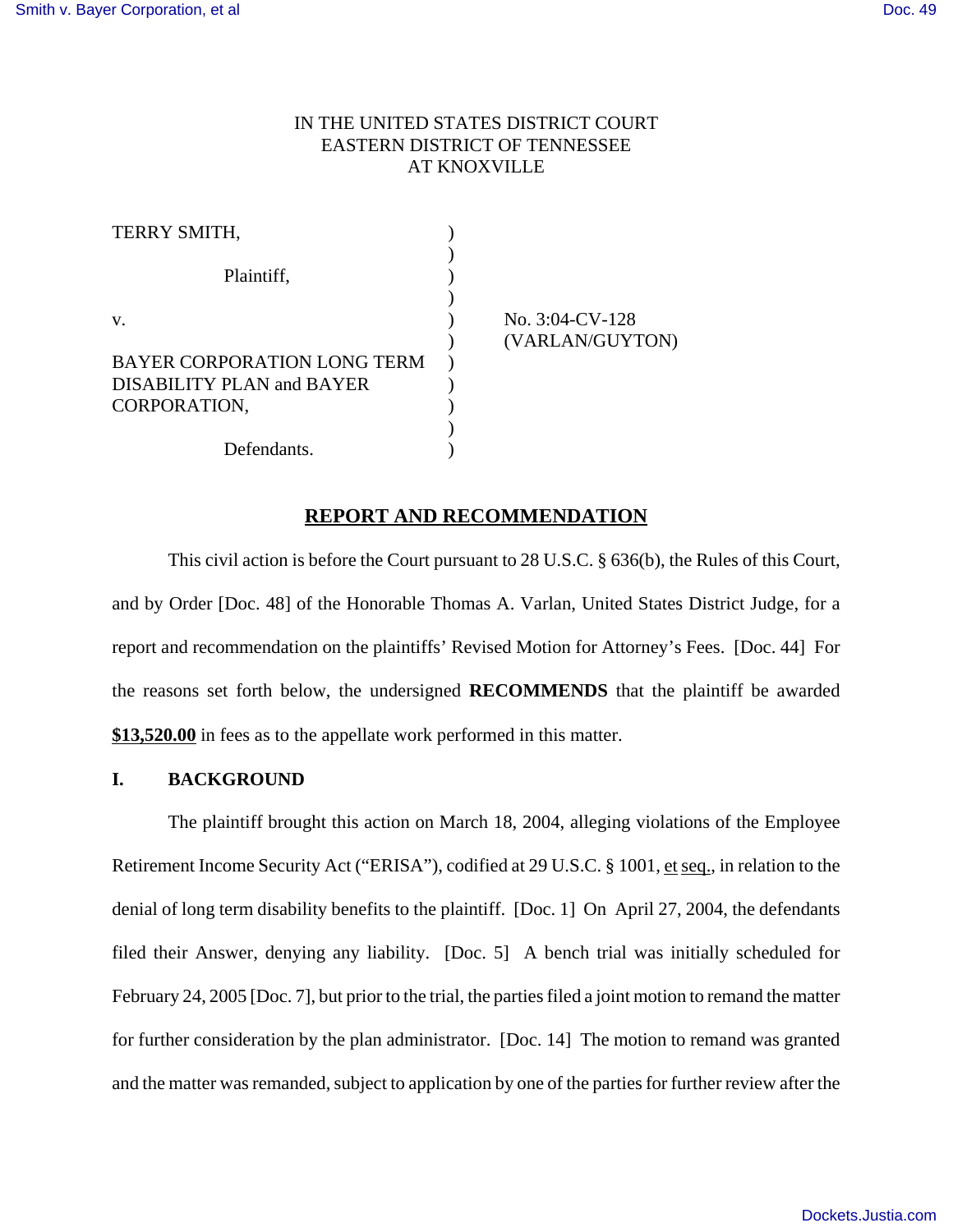# IN THE UNITED STATES DISTRICT COURT EASTERN DISTRICT OF TENNESSEE AT KNOXVILLE

| TERRY SMITH,                |                    |
|-----------------------------|--------------------|
|                             |                    |
| Plaintiff,                  |                    |
|                             |                    |
| V.                          | No. $3:04$ -CV-128 |
|                             | (VARLAN/GUYTON)    |
| BAYER CORPORATION LONG TERM |                    |
| DISABILITY PLAN and BAYER   |                    |
| CORPORATION,                |                    |
|                             |                    |
| Defendants.                 |                    |

## **REPORT AND RECOMMENDATION**

This civil action is before the Court pursuant to 28 U.S.C. § 636(b), the Rules of this Court, and by Order [Doc. 48] of the Honorable Thomas A. Varlan, United States District Judge, for a report and recommendation on the plaintiffs' Revised Motion for Attorney's Fees. [Doc. 44] For the reasons set forth below, the undersigned **RECOMMENDS** that the plaintiff be awarded **\$13,520.00** in fees as to the appellate work performed in this matter.

## **I. BACKGROUND**

The plaintiff brought this action on March 18, 2004, alleging violations of the Employee Retirement Income Security Act ("ERISA"), codified at 29 U.S.C. § 1001, et seq., in relation to the denial of long term disability benefits to the plaintiff. [Doc. 1] On April 27, 2004, the defendants filed their Answer, denying any liability. [Doc. 5] A bench trial was initially scheduled for February 24, 2005 [Doc. 7], but prior to the trial, the parties filed a joint motion to remand the matter for further consideration by the plan administrator. [Doc. 14] The motion to remand was granted and the matter was remanded, subject to application by one of the parties for further review after the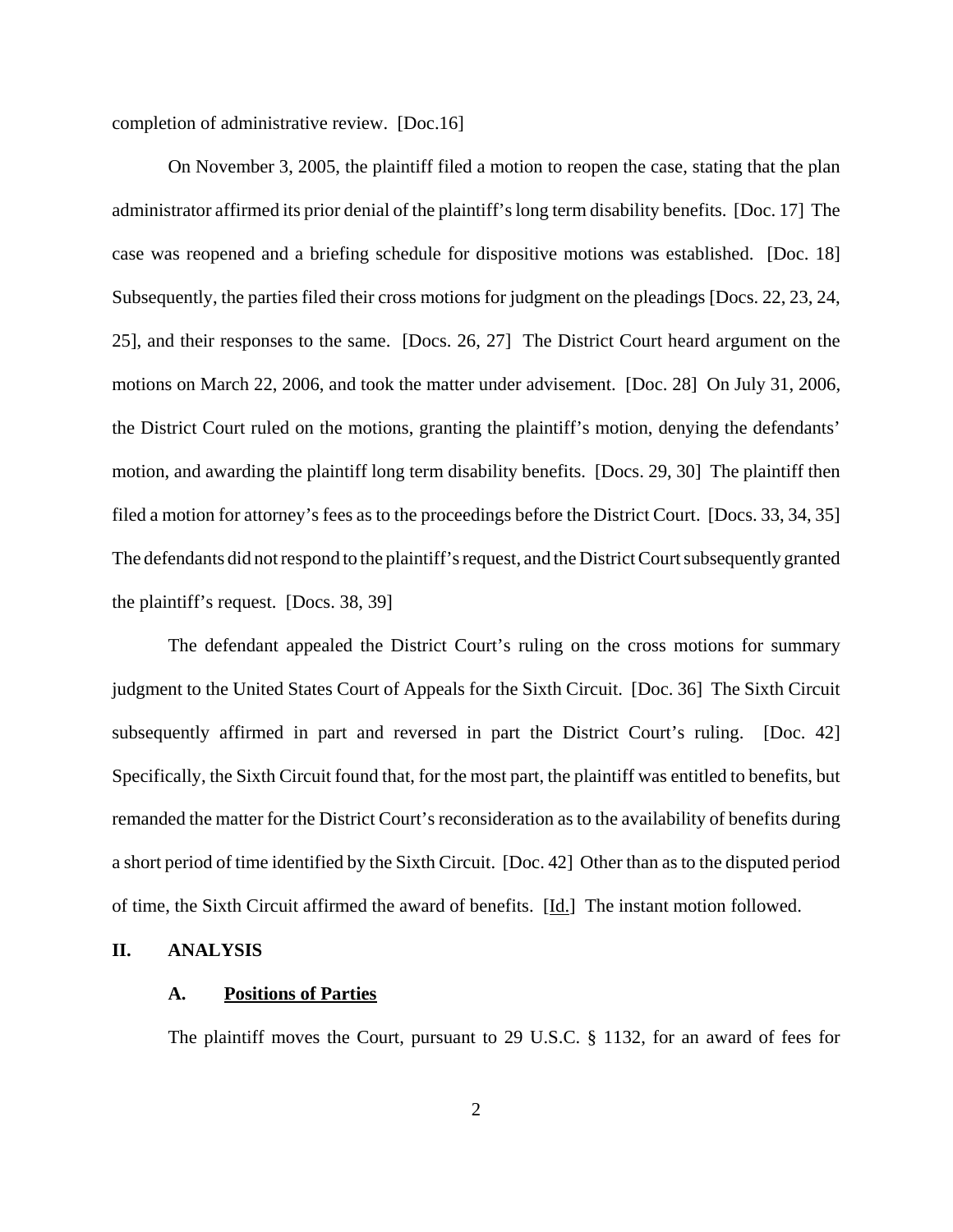completion of administrative review. [Doc.16]

On November 3, 2005, the plaintiff filed a motion to reopen the case, stating that the plan administrator affirmed its prior denial of the plaintiff's long term disability benefits. [Doc. 17] The case was reopened and a briefing schedule for dispositive motions was established. [Doc. 18] Subsequently, the parties filed their cross motions for judgment on the pleadings [Docs. 22, 23, 24, 25], and their responses to the same. [Docs. 26, 27] The District Court heard argument on the motions on March 22, 2006, and took the matter under advisement. [Doc. 28] On July 31, 2006, the District Court ruled on the motions, granting the plaintiff's motion, denying the defendants' motion, and awarding the plaintiff long term disability benefits. [Docs. 29, 30] The plaintiff then filed a motion for attorney's fees as to the proceedings before the District Court. [Docs. 33, 34, 35] The defendants did not respond to the plaintiff's request, and the District Court subsequently granted the plaintiff's request. [Docs. 38, 39]

The defendant appealed the District Court's ruling on the cross motions for summary judgment to the United States Court of Appeals for the Sixth Circuit. [Doc. 36] The Sixth Circuit subsequently affirmed in part and reversed in part the District Court's ruling. [Doc. 42] Specifically, the Sixth Circuit found that, for the most part, the plaintiff was entitled to benefits, but remanded the matter for the District Court's reconsideration as to the availability of benefits during a short period of time identified by the Sixth Circuit. [Doc. 42] Other than as to the disputed period of time, the Sixth Circuit affirmed the award of benefits. [Id.] The instant motion followed.

## **II. ANALYSIS**

### **A. Positions of Parties**

The plaintiff moves the Court, pursuant to 29 U.S.C. § 1132, for an award of fees for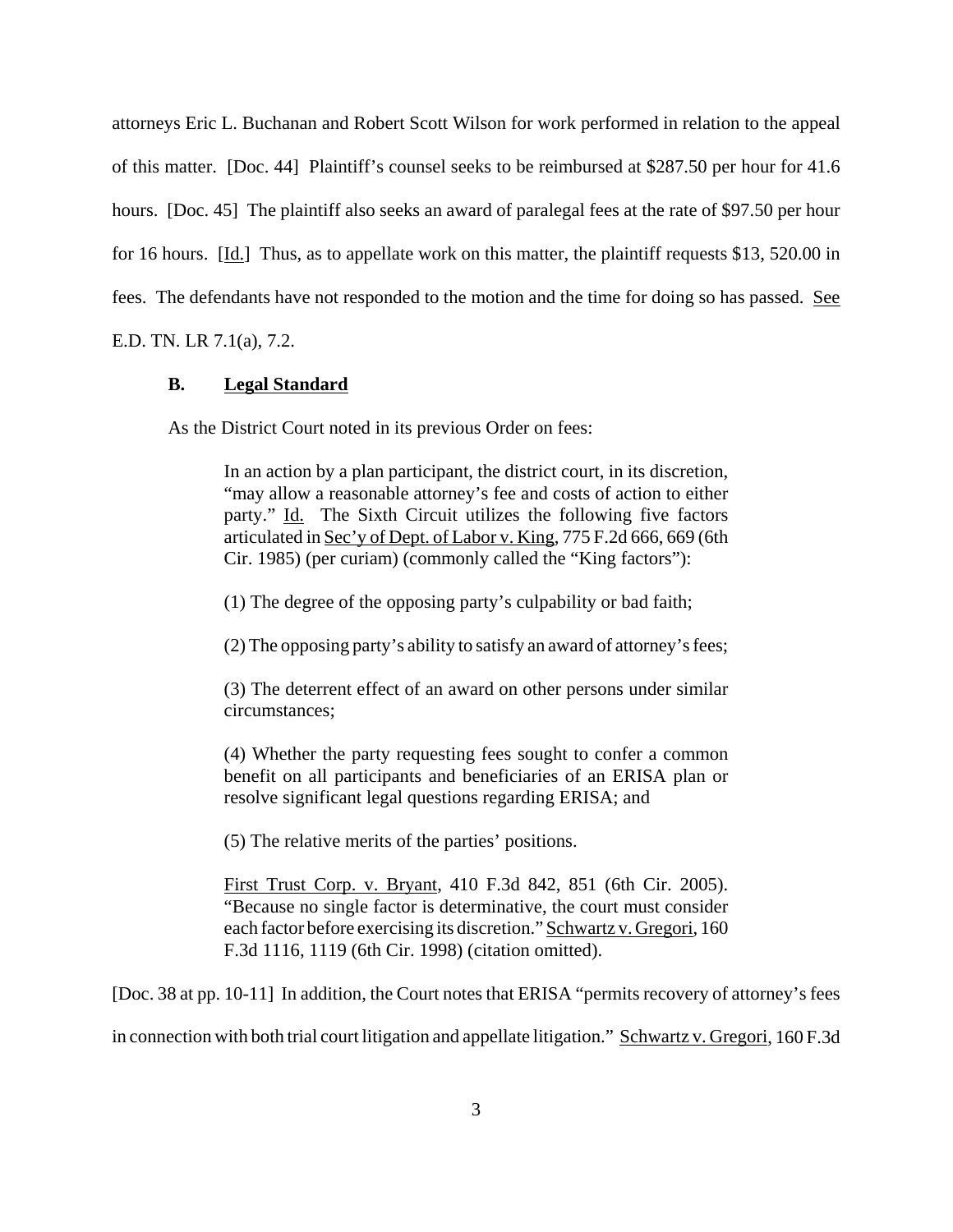attorneys Eric L. Buchanan and Robert Scott Wilson for work performed in relation to the appeal of this matter. [Doc. 44] Plaintiff's counsel seeks to be reimbursed at \$287.50 per hour for 41.6 hours. [Doc. 45] The plaintiff also seeks an award of paralegal fees at the rate of \$97.50 per hour for 16 hours.  $[\underline{Id}]$  Thus, as to appellate work on this matter, the plaintiff requests \$13, 520.00 in fees. The defendants have not responded to the motion and the time for doing so has passed. See

E.D. TN. LR 7.1(a), 7.2.

### **B. Legal Standard**

As the District Court noted in its previous Order on fees:

In an action by a plan participant, the district court, in its discretion, "may allow a reasonable attorney's fee and costs of action to either party." Id. The Sixth Circuit utilizes the following five factors articulated in Sec'y of Dept. of Labor v. King, 775 F.2d 666, 669 (6th Cir. 1985) (per curiam) (commonly called the "King factors"):

(1) The degree of the opposing party's culpability or bad faith;

(2) The opposing party's ability to satisfy an award of attorney's fees;

(3) The deterrent effect of an award on other persons under similar circumstances;

(4) Whether the party requesting fees sought to confer a common benefit on all participants and beneficiaries of an ERISA plan or resolve significant legal questions regarding ERISA; and

(5) The relative merits of the parties' positions.

First Trust Corp. v. Bryant, 410 F.3d 842, 851 (6th Cir. 2005). "Because no single factor is determinative, the court must consider each factor before exercising its discretion." Schwartz v. Gregori, 160 F.3d 1116, 1119 (6th Cir. 1998) (citation omitted).

[Doc. 38 at pp. 10-11] In addition, the Court notes that ERISA "permits recovery of attorney's fees

in connection with both trial court litigation and appellate litigation." Schwartz v. Gregori, 160 F.3d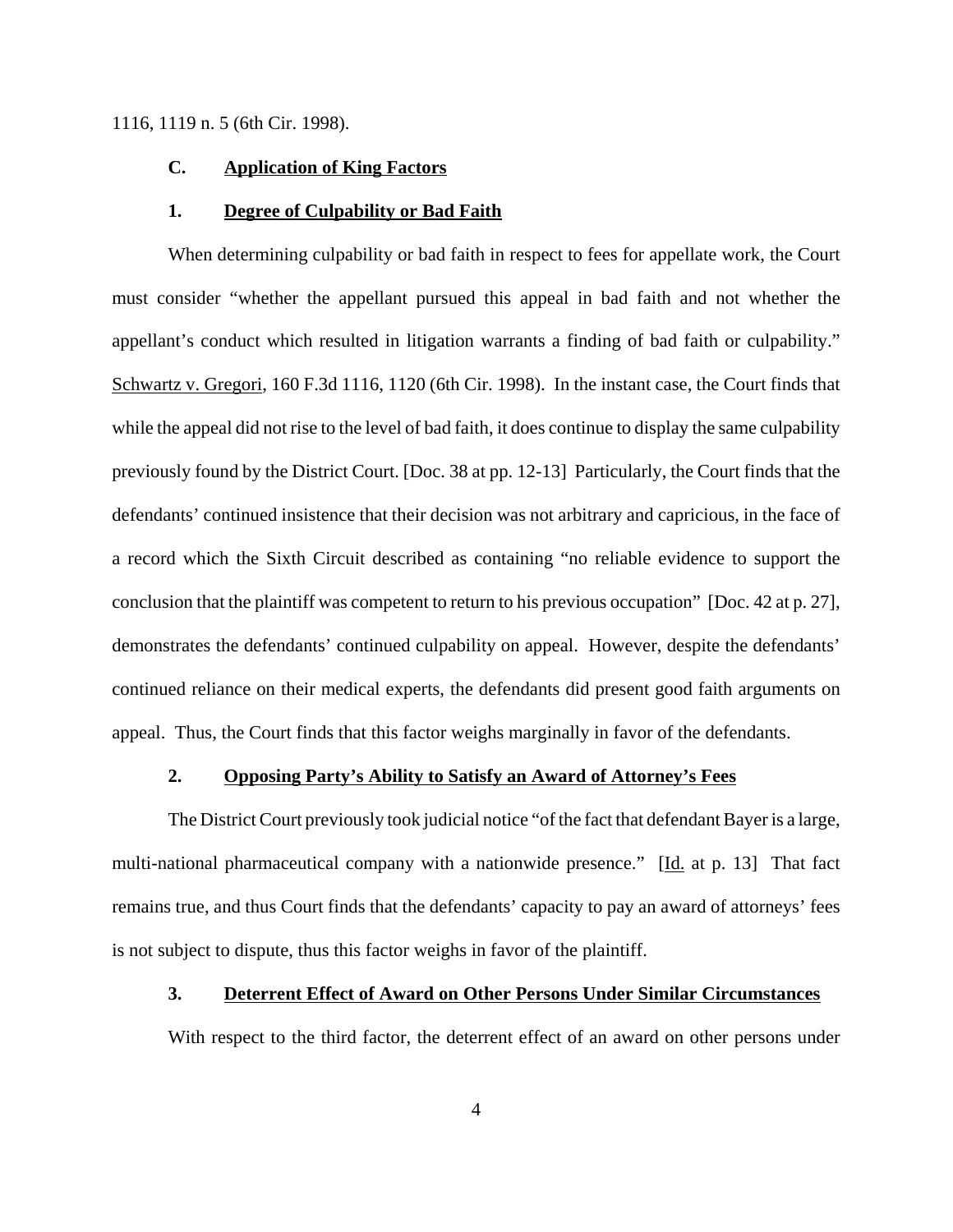1116, 1119 n. 5 (6th Cir. 1998).

#### **C. Application of King Factors**

#### **1. Degree of Culpability or Bad Faith**

When determining culpability or bad faith in respect to fees for appellate work, the Court must consider "whether the appellant pursued this appeal in bad faith and not whether the appellant's conduct which resulted in litigation warrants a finding of bad faith or culpability." Schwartz v. Gregori, 160 F.3d 1116, 1120 (6th Cir. 1998). In the instant case, the Court finds that while the appeal did not rise to the level of bad faith, it does continue to display the same culpability previously found by the District Court. [Doc. 38 at pp. 12-13] Particularly, the Court finds that the defendants' continued insistence that their decision was not arbitrary and capricious, in the face of a record which the Sixth Circuit described as containing "no reliable evidence to support the conclusion that the plaintiff was competent to return to his previous occupation" [Doc. 42 at p. 27], demonstrates the defendants' continued culpability on appeal. However, despite the defendants' continued reliance on their medical experts, the defendants did present good faith arguments on appeal. Thus, the Court finds that this factor weighs marginally in favor of the defendants.

### **2. Opposing Party's Ability to Satisfy an Award of Attorney's Fees**

The District Court previously took judicial notice "of the fact that defendant Bayer is a large, multi-national pharmaceutical company with a nationwide presence." [Id. at p. 13] That fact remains true, and thus Court finds that the defendants' capacity to pay an award of attorneys' fees is not subject to dispute, thus this factor weighs in favor of the plaintiff.

## **3. Deterrent Effect of Award on Other Persons Under Similar Circumstances**

With respect to the third factor, the deterrent effect of an award on other persons under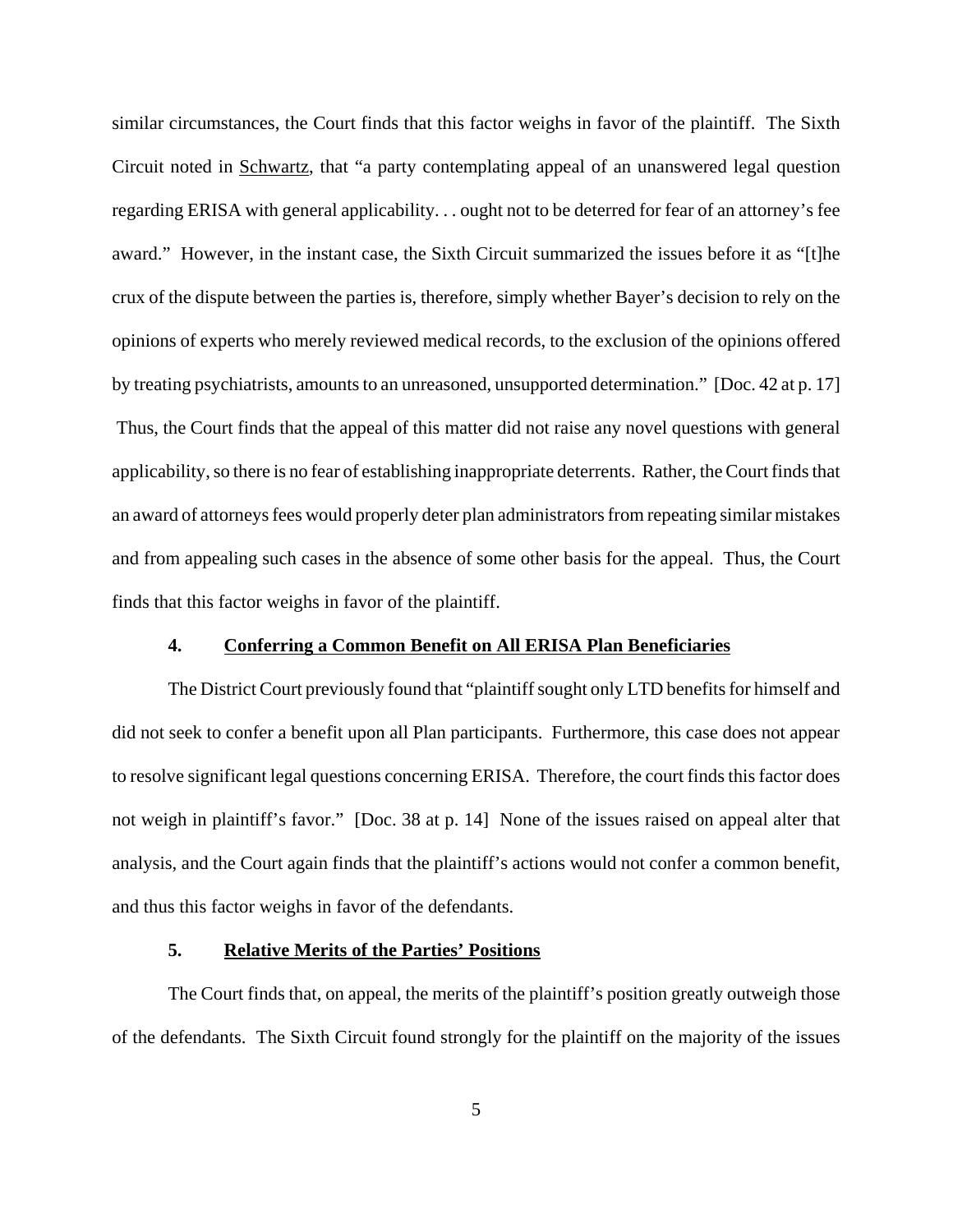similar circumstances, the Court finds that this factor weighs in favor of the plaintiff. The Sixth Circuit noted in Schwartz, that "a party contemplating appeal of an unanswered legal question regarding ERISA with general applicability. . . ought not to be deterred for fear of an attorney's fee award." However, in the instant case, the Sixth Circuit summarized the issues before it as "[t]he crux of the dispute between the parties is, therefore, simply whether Bayer's decision to rely on the opinions of experts who merely reviewed medical records, to the exclusion of the opinions offered by treating psychiatrists, amounts to an unreasoned, unsupported determination." [Doc. 42 at p. 17] Thus, the Court finds that the appeal of this matter did not raise any novel questions with general applicability, so there is no fear of establishing inappropriate deterrents. Rather, the Court finds that an award of attorneys fees would properly deter plan administrators from repeating similar mistakes and from appealing such cases in the absence of some other basis for the appeal. Thus, the Court finds that this factor weighs in favor of the plaintiff.

### **4. Conferring a Common Benefit on All ERISA Plan Beneficiaries**

The District Court previously found that "plaintiff sought only LTD benefits for himself and did not seek to confer a benefit upon all Plan participants. Furthermore, this case does not appear to resolve significant legal questions concerning ERISA. Therefore, the court finds this factor does not weigh in plaintiff's favor." [Doc. 38 at p. 14] None of the issues raised on appeal alter that analysis, and the Court again finds that the plaintiff's actions would not confer a common benefit, and thus this factor weighs in favor of the defendants.

#### **5. Relative Merits of the Parties' Positions**

The Court finds that, on appeal, the merits of the plaintiff's position greatly outweigh those of the defendants. The Sixth Circuit found strongly for the plaintiff on the majority of the issues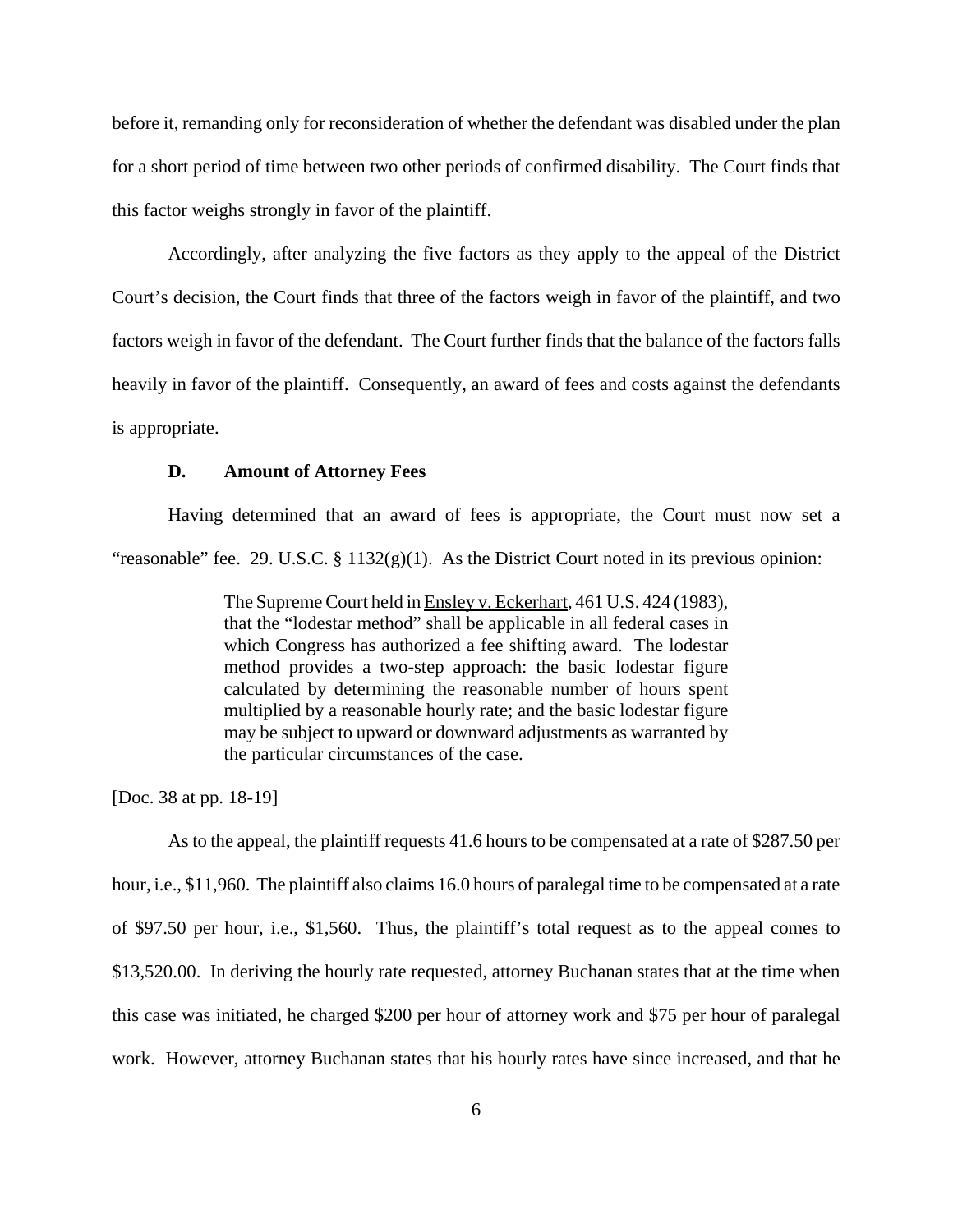before it, remanding only for reconsideration of whether the defendant was disabled under the plan for a short period of time between two other periods of confirmed disability. The Court finds that this factor weighs strongly in favor of the plaintiff.

Accordingly, after analyzing the five factors as they apply to the appeal of the District Court's decision, the Court finds that three of the factors weigh in favor of the plaintiff, and two factors weigh in favor of the defendant. The Court further finds that the balance of the factors falls heavily in favor of the plaintiff. Consequently, an award of fees and costs against the defendants is appropriate.

### **D. Amount of Attorney Fees**

Having determined that an award of fees is appropriate, the Court must now set a "reasonable" fee. 29. U.S.C. § 1132(g)(1). As the District Court noted in its previous opinion:

> The Supreme Court held in Ensley v. Eckerhart, 461 U.S. 424 (1983), that the "lodestar method" shall be applicable in all federal cases in which Congress has authorized a fee shifting award. The lodestar method provides a two-step approach: the basic lodestar figure calculated by determining the reasonable number of hours spent multiplied by a reasonable hourly rate; and the basic lodestar figure may be subject to upward or downward adjustments as warranted by the particular circumstances of the case.

[Doc. 38 at pp. 18-19]

As to the appeal, the plaintiff requests 41.6 hours to be compensated at a rate of \$287.50 per hour, i.e., \$11,960. The plaintiff also claims 16.0 hours of paralegal time to be compensated at a rate of \$97.50 per hour, i.e., \$1,560. Thus, the plaintiff's total request as to the appeal comes to \$13,520.00. In deriving the hourly rate requested, attorney Buchanan states that at the time when this case was initiated, he charged \$200 per hour of attorney work and \$75 per hour of paralegal work. However, attorney Buchanan states that his hourly rates have since increased, and that he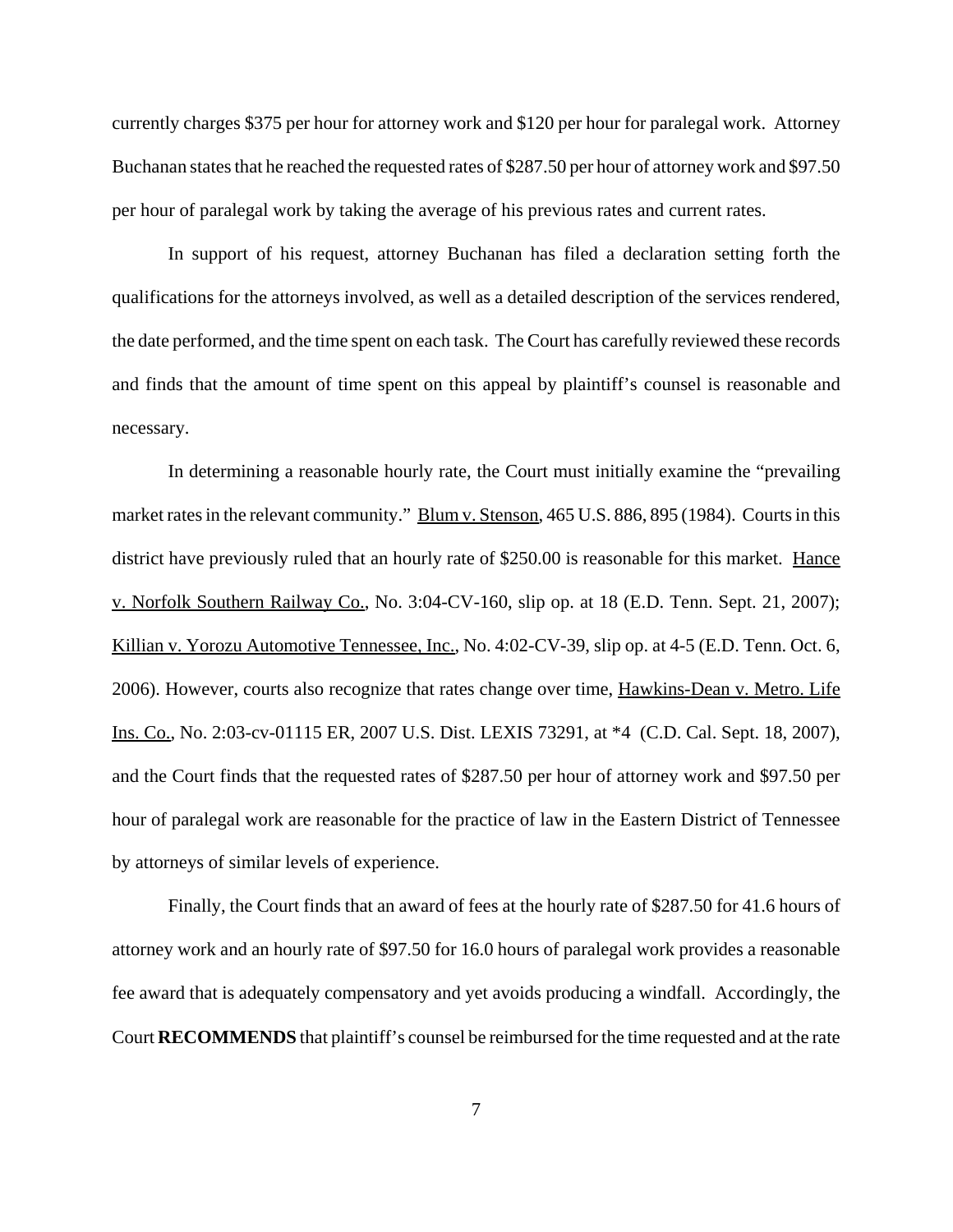currently charges \$375 per hour for attorney work and \$120 per hour for paralegal work. Attorney Buchanan states that he reached the requested rates of \$287.50 per hour of attorney work and \$97.50 per hour of paralegal work by taking the average of his previous rates and current rates.

In support of his request, attorney Buchanan has filed a declaration setting forth the qualifications for the attorneys involved, as well as a detailed description of the services rendered, the date performed, and the time spent on each task. The Court has carefully reviewed these records and finds that the amount of time spent on this appeal by plaintiff's counsel is reasonable and necessary.

In determining a reasonable hourly rate, the Court must initially examine the "prevailing market rates in the relevant community." Blum v. Stenson, 465 U.S. 886, 895 (1984). Courts in this district have previously ruled that an hourly rate of \$250.00 is reasonable for this market. Hance v. Norfolk Southern Railway Co., No. 3:04-CV-160, slip op. at 18 (E.D. Tenn. Sept. 21, 2007); Killian v. Yorozu Automotive Tennessee, Inc., No. 4:02-CV-39, slip op. at 4-5 (E.D. Tenn. Oct. 6, 2006). However, courts also recognize that rates change over time, Hawkins-Dean v. Metro. Life Ins. Co., No. 2:03-cv-01115 ER, 2007 U.S. Dist. LEXIS 73291, at \*4 (C.D. Cal. Sept. 18, 2007), and the Court finds that the requested rates of \$287.50 per hour of attorney work and \$97.50 per hour of paralegal work are reasonable for the practice of law in the Eastern District of Tennessee by attorneys of similar levels of experience.

Finally, the Court finds that an award of fees at the hourly rate of \$287.50 for 41.6 hours of attorney work and an hourly rate of \$97.50 for 16.0 hours of paralegal work provides a reasonable fee award that is adequately compensatory and yet avoids producing a windfall. Accordingly, the Court **RECOMMENDS** that plaintiff's counsel be reimbursed for the time requested and at the rate